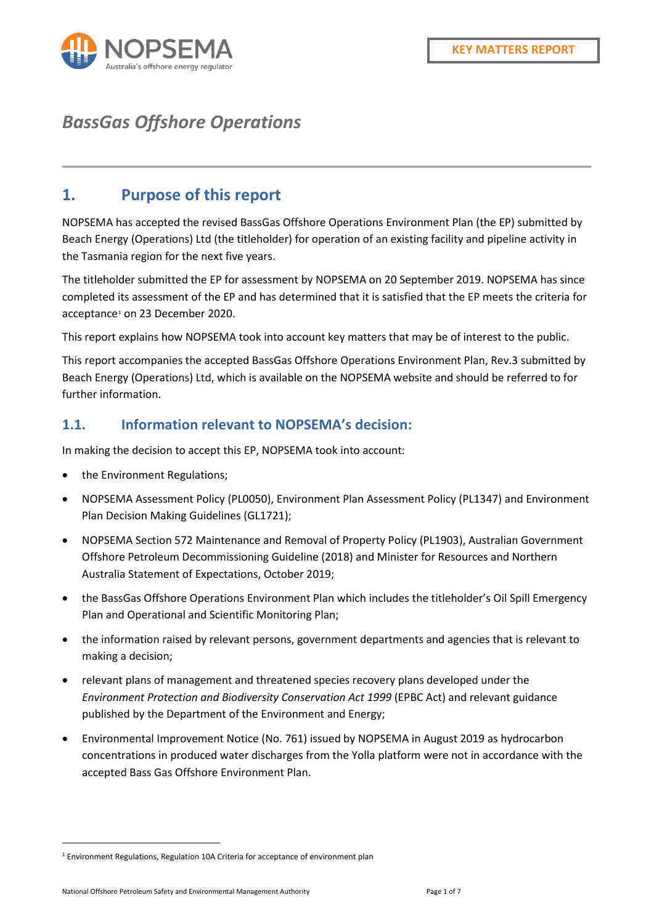

## *BassGas Offshore Operations*

#### **1. Purpose of this report**

NOPSEMA has accepted the revised BassGas Offshore Operations Environment Plan (the EP) submitted by Beach Energy (Operations) Ltd (the titleholder) for operation of an existing facility and pipeline activity in the Tasmania region for the next five years.

The titleholder submitted the EP for assessment by NOPSEMA on 20 September 2019. NOPSEMA has since completed its assessment of the EP and has determined that it is satisfied that the EP meets the criteria for acceptance<sup>[1](#page-0-0)</sup> on 23 December 2020.

This report explains how NOPSEMA took into account key matters that may be of interest to the public.

This report accompanies the accepted BassGas Offshore Operations Environment Plan, Rev.3 submitted by Beach Energy (Operations) Ltd, which is available on the NOPSEMA website and should be referred to for further information.

#### **1.1. Information relevant to NOPSEMA's decision:**

In making the decision to accept this EP, NOPSEMA took into account:

- the Environment Regulations;
- NOPSEMA Assessment Policy (PL0050), Environment Plan Assessment Policy (PL1347) and Environment Plan Decision Making Guidelines (GL1721);
- NOPSEMA Section 572 Maintenance and Removal of Property Policy (PL1903), Australian Government Offshore Petroleum Decommissioning Guideline (2018) and Minister for Resources and Northern Australia Statement of Expectations, October 2019;
- the BassGas Offshore Operations Environment Plan which includes the titleholder's Oil Spill Emergency Plan and Operational and Scientific Monitoring Plan;
- the information raised by relevant persons, government departments and agencies that is relevant to making a decision;
- relevant plans of management and threatened species recovery plans developed under the *Environment Protection and Biodiversity Conservation Act 1999* (EPBC Act) and relevant guidance published by the Department of the Environment and Energy;
- Environmental Improvement Notice (No. 761) issued by NOPSEMA in August 2019 as hydrocarbon concentrations in produced water discharges from the Yolla platform were not in accordance with the accepted Bass Gas Offshore Environment Plan.

<span id="page-0-0"></span><sup>&</sup>lt;sup>1</sup> Environment Regulations, Regulation 10A Criteria for acceptance of environment plan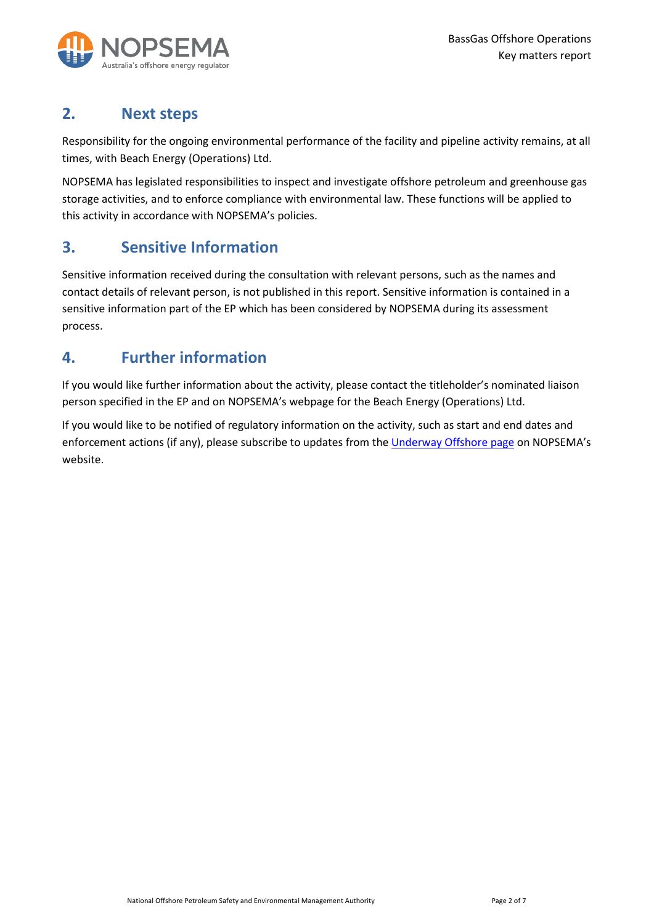

### **2. Next steps**

Responsibility for the ongoing environmental performance of the facility and pipeline activity remains, at all times, with Beach Energy (Operations) Ltd.

NOPSEMA has legislated responsibilities to inspect and investigate offshore petroleum and greenhouse gas storage activities, and to enforce compliance with environmental law. These functions will be applied to this activity in accordance with NOPSEMA's policies.

### **3. Sensitive Information**

Sensitive information received during the consultation with relevant persons, such as the names and contact details of relevant person, is not published in this report. Sensitive information is contained in a sensitive information part of the EP which has been considered by NOPSEMA during its assessment process.

### **4. Further information**

If you would like further information about the activity, please contact the titleholder's nominated liaison person specified in the EP and on NOPSEMA's webpage for the Beach Energy (Operations) Ltd.

If you would like to be notified of regulatory information on the activity, such as start and end dates and enforcement actions (if any), please subscribe to updates from th[e Underway Offshore page](https://info.nopsema.gov.au/) on NOPSEMA's website.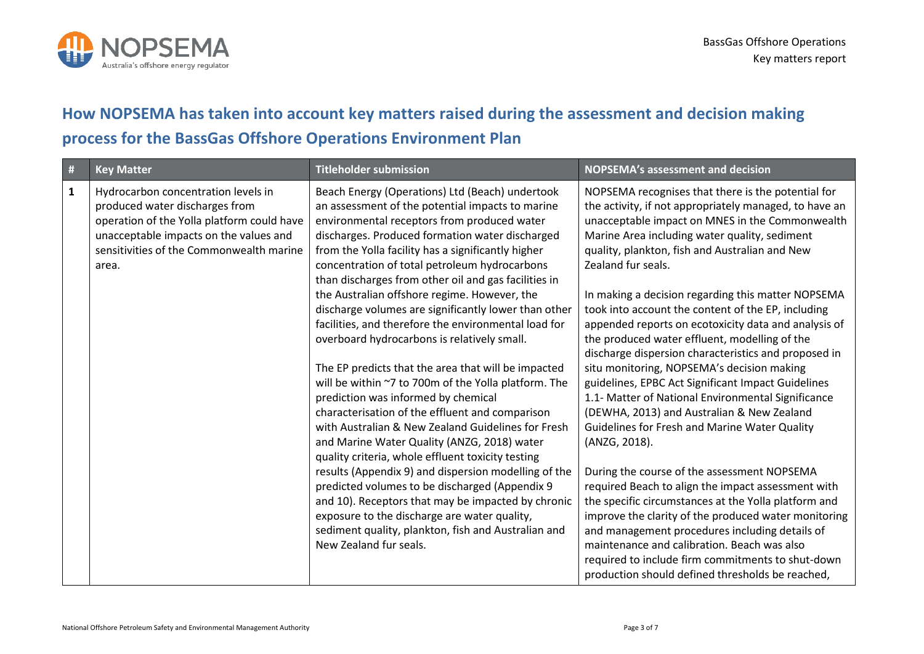

# **How NOPSEMA has taken into account key matters raised during the assessment and decision making process for the BassGas Offshore Operations Environment Plan**

| #            | <b>Key Matter</b>                                                                                                                                                                                                  | <b>Titleholder submission</b>                                                                                                                                                                                                                                                                                                                                                                                                                                                                                                                                                                                                                                                                                                                                                                                                                                                                                                                                                                                                                                                                                                                                                                                                                           | <b>NOPSEMA's assessment and decision</b>                                                                                                                                                                                                                                                                                                                                                                                                                                                                                                                                                                                                                                                                                                                                                                                                                                                                                                                                                                                                                                                                                                                                                                                                                                              |
|--------------|--------------------------------------------------------------------------------------------------------------------------------------------------------------------------------------------------------------------|---------------------------------------------------------------------------------------------------------------------------------------------------------------------------------------------------------------------------------------------------------------------------------------------------------------------------------------------------------------------------------------------------------------------------------------------------------------------------------------------------------------------------------------------------------------------------------------------------------------------------------------------------------------------------------------------------------------------------------------------------------------------------------------------------------------------------------------------------------------------------------------------------------------------------------------------------------------------------------------------------------------------------------------------------------------------------------------------------------------------------------------------------------------------------------------------------------------------------------------------------------|---------------------------------------------------------------------------------------------------------------------------------------------------------------------------------------------------------------------------------------------------------------------------------------------------------------------------------------------------------------------------------------------------------------------------------------------------------------------------------------------------------------------------------------------------------------------------------------------------------------------------------------------------------------------------------------------------------------------------------------------------------------------------------------------------------------------------------------------------------------------------------------------------------------------------------------------------------------------------------------------------------------------------------------------------------------------------------------------------------------------------------------------------------------------------------------------------------------------------------------------------------------------------------------|
| $\mathbf{1}$ | Hydrocarbon concentration levels in<br>produced water discharges from<br>operation of the Yolla platform could have<br>unacceptable impacts on the values and<br>sensitivities of the Commonwealth marine<br>area. | Beach Energy (Operations) Ltd (Beach) undertook<br>an assessment of the potential impacts to marine<br>environmental receptors from produced water<br>discharges. Produced formation water discharged<br>from the Yolla facility has a significantly higher<br>concentration of total petroleum hydrocarbons<br>than discharges from other oil and gas facilities in<br>the Australian offshore regime. However, the<br>discharge volumes are significantly lower than other<br>facilities, and therefore the environmental load for<br>overboard hydrocarbons is relatively small.<br>The EP predicts that the area that will be impacted<br>will be within ~7 to 700m of the Yolla platform. The<br>prediction was informed by chemical<br>characterisation of the effluent and comparison<br>with Australian & New Zealand Guidelines for Fresh<br>and Marine Water Quality (ANZG, 2018) water<br>quality criteria, whole effluent toxicity testing<br>results (Appendix 9) and dispersion modelling of the<br>predicted volumes to be discharged (Appendix 9<br>and 10). Receptors that may be impacted by chronic<br>exposure to the discharge are water quality,<br>sediment quality, plankton, fish and Australian and<br>New Zealand fur seals. | NOPSEMA recognises that there is the potential for<br>the activity, if not appropriately managed, to have an<br>unacceptable impact on MNES in the Commonwealth<br>Marine Area including water quality, sediment<br>quality, plankton, fish and Australian and New<br>Zealand fur seals.<br>In making a decision regarding this matter NOPSEMA<br>took into account the content of the EP, including<br>appended reports on ecotoxicity data and analysis of<br>the produced water effluent, modelling of the<br>discharge dispersion characteristics and proposed in<br>situ monitoring, NOPSEMA's decision making<br>guidelines, EPBC Act Significant Impact Guidelines<br>1.1- Matter of National Environmental Significance<br>(DEWHA, 2013) and Australian & New Zealand<br><b>Guidelines for Fresh and Marine Water Quality</b><br>(ANZG, 2018).<br>During the course of the assessment NOPSEMA<br>required Beach to align the impact assessment with<br>the specific circumstances at the Yolla platform and<br>improve the clarity of the produced water monitoring<br>and management procedures including details of<br>maintenance and calibration. Beach was also<br>required to include firm commitments to shut-down<br>production should defined thresholds be reached, |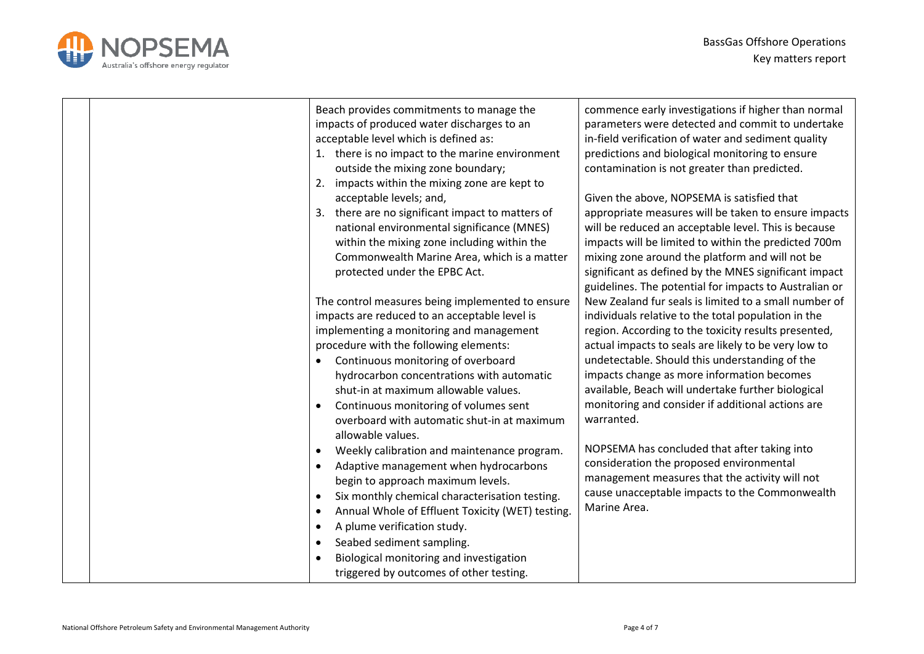

| Beach provides commitments to manage the<br>impacts of produced water discharges to an<br>acceptable level which is defined as:<br>1. there is no impact to the marine environment<br>outside the mixing zone boundary;<br>2. impacts within the mixing zone are kept to<br>acceptable levels; and,<br>3. there are no significant impact to matters of<br>national environmental significance (MNES)<br>within the mixing zone including within the<br>Commonwealth Marine Area, which is a matter<br>protected under the EPBC Act.                                                                                                                                                                                                                                                                                                                                                                            | commence early investigations if higher than normal<br>parameters were detected and commit to undertake<br>in-field verification of water and sediment quality<br>predictions and biological monitoring to ensure<br>contamination is not greater than predicted.<br>Given the above, NOPSEMA is satisfied that<br>appropriate measures will be taken to ensure impacts<br>will be reduced an acceptable level. This is because<br>impacts will be limited to within the predicted 700m<br>mixing zone around the platform and will not be<br>significant as defined by the MNES significant impact<br>guidelines. The potential for impacts to Australian or         |
|-----------------------------------------------------------------------------------------------------------------------------------------------------------------------------------------------------------------------------------------------------------------------------------------------------------------------------------------------------------------------------------------------------------------------------------------------------------------------------------------------------------------------------------------------------------------------------------------------------------------------------------------------------------------------------------------------------------------------------------------------------------------------------------------------------------------------------------------------------------------------------------------------------------------|-----------------------------------------------------------------------------------------------------------------------------------------------------------------------------------------------------------------------------------------------------------------------------------------------------------------------------------------------------------------------------------------------------------------------------------------------------------------------------------------------------------------------------------------------------------------------------------------------------------------------------------------------------------------------|
| The control measures being implemented to ensure<br>impacts are reduced to an acceptable level is<br>implementing a monitoring and management<br>procedure with the following elements:<br>Continuous monitoring of overboard<br>$\bullet$<br>hydrocarbon concentrations with automatic<br>shut-in at maximum allowable values.<br>Continuous monitoring of volumes sent<br>overboard with automatic shut-in at maximum<br>allowable values.<br>Weekly calibration and maintenance program.<br>Adaptive management when hydrocarbons<br>$\bullet$<br>begin to approach maximum levels.<br>Six monthly chemical characterisation testing.<br>$\bullet$<br>Annual Whole of Effluent Toxicity (WET) testing.<br>$\bullet$<br>A plume verification study.<br>$\bullet$<br>Seabed sediment sampling.<br>$\bullet$<br>Biological monitoring and investigation<br>$\bullet$<br>triggered by outcomes of other testing. | New Zealand fur seals is limited to a small number of<br>individuals relative to the total population in the<br>region. According to the toxicity results presented,<br>actual impacts to seals are likely to be very low to<br>undetectable. Should this understanding of the<br>impacts change as more information becomes<br>available, Beach will undertake further biological<br>monitoring and consider if additional actions are<br>warranted.<br>NOPSEMA has concluded that after taking into<br>consideration the proposed environmental<br>management measures that the activity will not<br>cause unacceptable impacts to the Commonwealth<br>Marine Area. |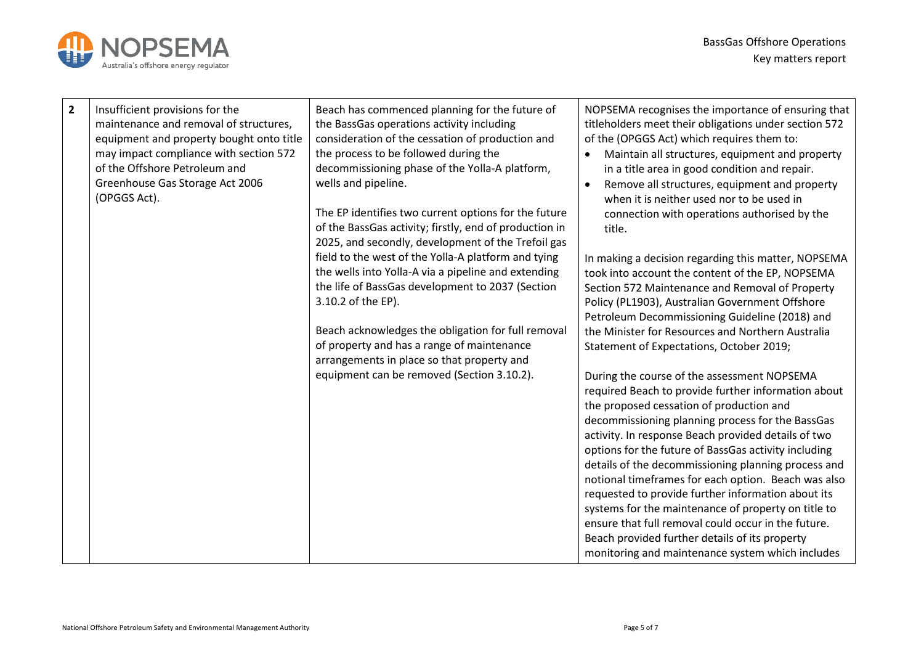

| $\overline{2}$ | Insufficient provisions for the<br>maintenance and removal of structures,<br>equipment and property bought onto title<br>may impact compliance with section 572<br>of the Offshore Petroleum and<br>Greenhouse Gas Storage Act 2006<br>(OPGGS Act). | Beach has commenced planning for the future of<br>the BassGas operations activity including<br>consideration of the cessation of production and<br>the process to be followed during the<br>decommissioning phase of the Yolla-A platform,<br>wells and pipeline.<br>The EP identifies two current options for the future<br>of the BassGas activity; firstly, end of production in<br>2025, and secondly, development of the Trefoil gas<br>field to the west of the Yolla-A platform and tying<br>the wells into Yolla-A via a pipeline and extending<br>the life of BassGas development to 2037 (Section<br>3.10.2 of the EP).<br>Beach acknowledges the obligation for full removal<br>of property and has a range of maintenance<br>arrangements in place so that property and<br>equipment can be removed (Section 3.10.2). | NOPSEMA recognises the importance of ensuring that<br>titleholders meet their obligations under section 572<br>of the (OPGGS Act) which requires them to:<br>Maintain all structures, equipment and property<br>in a title area in good condition and repair.<br>Remove all structures, equipment and property<br>when it is neither used nor to be used in<br>connection with operations authorised by the<br>title.<br>In making a decision regarding this matter, NOPSEMA<br>took into account the content of the EP, NOPSEMA<br>Section 572 Maintenance and Removal of Property<br>Policy (PL1903), Australian Government Offshore<br>Petroleum Decommissioning Guideline (2018) and<br>the Minister for Resources and Northern Australia<br>Statement of Expectations, October 2019;<br>During the course of the assessment NOPSEMA<br>required Beach to provide further information about<br>the proposed cessation of production and<br>decommissioning planning process for the BassGas<br>activity. In response Beach provided details of two<br>options for the future of BassGas activity including<br>details of the decommissioning planning process and<br>notional timeframes for each option. Beach was also<br>requested to provide further information about its<br>systems for the maintenance of property on title to<br>ensure that full removal could occur in the future.<br>Beach provided further details of its property |
|----------------|-----------------------------------------------------------------------------------------------------------------------------------------------------------------------------------------------------------------------------------------------------|-----------------------------------------------------------------------------------------------------------------------------------------------------------------------------------------------------------------------------------------------------------------------------------------------------------------------------------------------------------------------------------------------------------------------------------------------------------------------------------------------------------------------------------------------------------------------------------------------------------------------------------------------------------------------------------------------------------------------------------------------------------------------------------------------------------------------------------|----------------------------------------------------------------------------------------------------------------------------------------------------------------------------------------------------------------------------------------------------------------------------------------------------------------------------------------------------------------------------------------------------------------------------------------------------------------------------------------------------------------------------------------------------------------------------------------------------------------------------------------------------------------------------------------------------------------------------------------------------------------------------------------------------------------------------------------------------------------------------------------------------------------------------------------------------------------------------------------------------------------------------------------------------------------------------------------------------------------------------------------------------------------------------------------------------------------------------------------------------------------------------------------------------------------------------------------------------------------------------------------------------------------------------------------------------|
|                |                                                                                                                                                                                                                                                     |                                                                                                                                                                                                                                                                                                                                                                                                                                                                                                                                                                                                                                                                                                                                                                                                                                   | monitoring and maintenance system which includes                                                                                                                                                                                                                                                                                                                                                                                                                                                                                                                                                                                                                                                                                                                                                                                                                                                                                                                                                                                                                                                                                                                                                                                                                                                                                                                                                                                                   |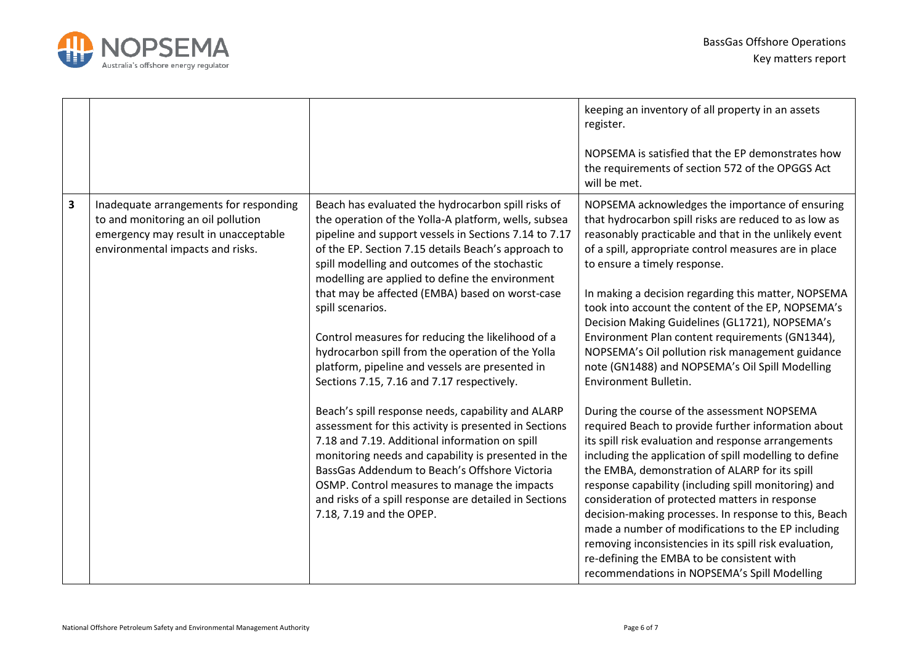

|   |                                                                                                                                                          |                                                                                                                                                                                                                                                                                                                                                                                                                                                                                                                                                                                                                                                                                                                                                                                                                                                                                                                                                                                                                                  | keeping an inventory of all property in an assets<br>register.<br>NOPSEMA is satisfied that the EP demonstrates how<br>the requirements of section 572 of the OPGGS Act<br>will be met.                                                                                                                                                                                                                                                                                                                                                                                                                                                                                                                                                                                                                                                                                                                                                                                                                                                                                                                                                                                                                                                                                |
|---|----------------------------------------------------------------------------------------------------------------------------------------------------------|----------------------------------------------------------------------------------------------------------------------------------------------------------------------------------------------------------------------------------------------------------------------------------------------------------------------------------------------------------------------------------------------------------------------------------------------------------------------------------------------------------------------------------------------------------------------------------------------------------------------------------------------------------------------------------------------------------------------------------------------------------------------------------------------------------------------------------------------------------------------------------------------------------------------------------------------------------------------------------------------------------------------------------|------------------------------------------------------------------------------------------------------------------------------------------------------------------------------------------------------------------------------------------------------------------------------------------------------------------------------------------------------------------------------------------------------------------------------------------------------------------------------------------------------------------------------------------------------------------------------------------------------------------------------------------------------------------------------------------------------------------------------------------------------------------------------------------------------------------------------------------------------------------------------------------------------------------------------------------------------------------------------------------------------------------------------------------------------------------------------------------------------------------------------------------------------------------------------------------------------------------------------------------------------------------------|
| 3 | Inadequate arrangements for responding<br>to and monitoring an oil pollution<br>emergency may result in unacceptable<br>environmental impacts and risks. | Beach has evaluated the hydrocarbon spill risks of<br>the operation of the Yolla-A platform, wells, subsea<br>pipeline and support vessels in Sections 7.14 to 7.17<br>of the EP. Section 7.15 details Beach's approach to<br>spill modelling and outcomes of the stochastic<br>modelling are applied to define the environment<br>that may be affected (EMBA) based on worst-case<br>spill scenarios.<br>Control measures for reducing the likelihood of a<br>hydrocarbon spill from the operation of the Yolla<br>platform, pipeline and vessels are presented in<br>Sections 7.15, 7.16 and 7.17 respectively.<br>Beach's spill response needs, capability and ALARP<br>assessment for this activity is presented in Sections<br>7.18 and 7.19. Additional information on spill<br>monitoring needs and capability is presented in the<br>BassGas Addendum to Beach's Offshore Victoria<br>OSMP. Control measures to manage the impacts<br>and risks of a spill response are detailed in Sections<br>7.18, 7.19 and the OPEP. | NOPSEMA acknowledges the importance of ensuring<br>that hydrocarbon spill risks are reduced to as low as<br>reasonably practicable and that in the unlikely event<br>of a spill, appropriate control measures are in place<br>to ensure a timely response.<br>In making a decision regarding this matter, NOPSEMA<br>took into account the content of the EP, NOPSEMA's<br>Decision Making Guidelines (GL1721), NOPSEMA's<br>Environment Plan content requirements (GN1344),<br>NOPSEMA's Oil pollution risk management guidance<br>note (GN1488) and NOPSEMA's Oil Spill Modelling<br>Environment Bulletin.<br>During the course of the assessment NOPSEMA<br>required Beach to provide further information about<br>its spill risk evaluation and response arrangements<br>including the application of spill modelling to define<br>the EMBA, demonstration of ALARP for its spill<br>response capability (including spill monitoring) and<br>consideration of protected matters in response<br>decision-making processes. In response to this, Beach<br>made a number of modifications to the EP including<br>removing inconsistencies in its spill risk evaluation,<br>re-defining the EMBA to be consistent with<br>recommendations in NOPSEMA's Spill Modelling |